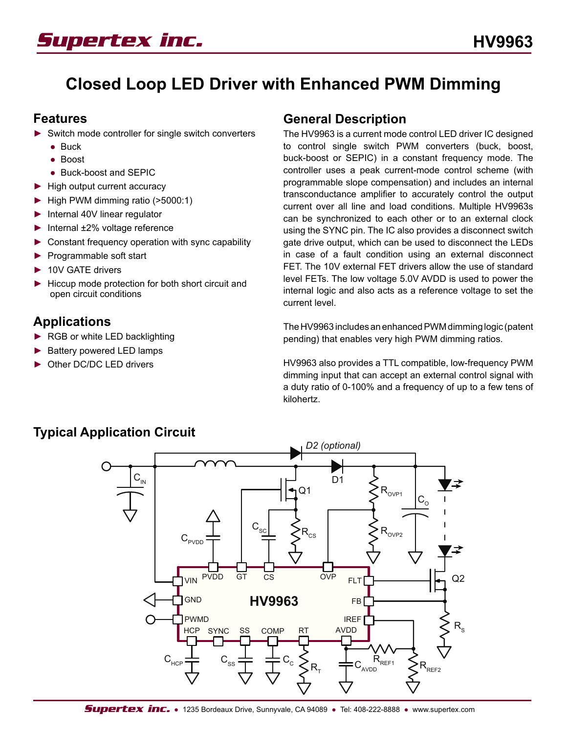

# **Closed Loop LED Driver with Enhanced PWM Dimming**

### **Features**

- ► Switch mode controller for single switch converters
	- Buck
	- Boost
	- Buck-boost and SEPIC
- ► High output current accuracy
- ► High PWM dimming ratio (>5000:1)
- ► Internal 40V linear regulator
- ► Internal ±2% voltage reference
- ► Constant frequency operation with sync capability
- ► Programmable soft start
- ► 10V GATE drivers
- ► Hiccup mode protection for both short circuit and open circuit conditions

## **Applications**

- ▶ RGB or white LED backlighting
- ► Battery powered LED lamps
- ► Other DC/DC LED drivers

## **General Description**

The HV9963 is a current mode control LED driver IC designed to control single switch PWM converters (buck, boost, buck-boost or SEPIC) in a constant frequency mode. The controller uses a peak current-mode control scheme (with programmable slope compensation) and includes an internal transconductance amplifier to accurately control the output current over all line and load conditions. Multiple HV9963s can be synchronized to each other or to an external clock using the SYNC pin. The IC also provides a disconnect switch gate drive output, which can be used to disconnect the LEDs in case of a fault condition using an external disconnect FET. The 10V external FET drivers allow the use of standard level FETs. The low voltage 5.0V AVDD is used to power the internal logic and also acts as a reference voltage to set the current level.

The HV9963 includes an enhanced PWM dimming logic (patent pending) that enables very high PWM dimming ratios.

HV9963 also provides a TTL compatible, low-frequency PWM dimming input that can accept an external control signal with a duty ratio of 0-100% and a frequency of up to a few tens of kilohertz.



## **Typical Application Circuit**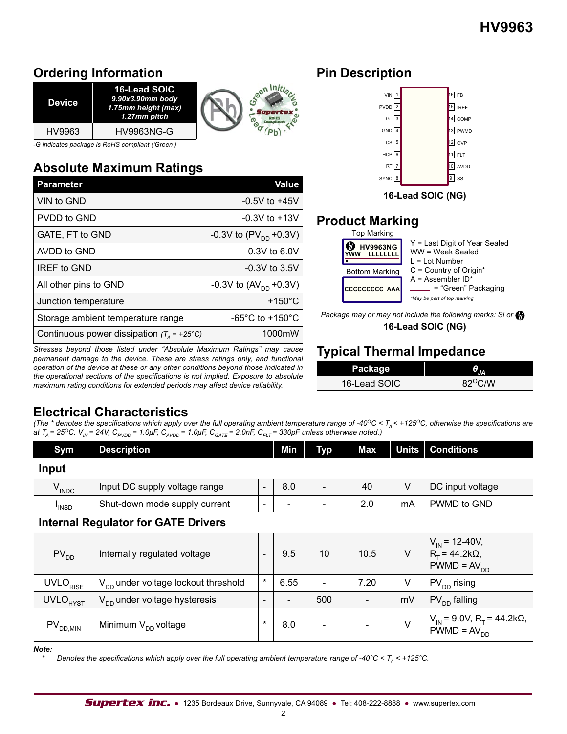## **Ordering Information**

| <b>Device</b> | 16-Lead SOIC<br>$9.90x3.90mm$ body<br>1.75mm height (max)<br>1.27mm pitch |  |
|---------------|---------------------------------------------------------------------------|--|
| HV9963        | <b>HV9963NG-G</b>                                                         |  |

*-G indicates package is RoHS compliant ('Green')*

# **Absolute Maximum Ratings**

| <b>Parameter</b>                                    | Value                               |
|-----------------------------------------------------|-------------------------------------|
| VIN to GND                                          | $-0.5V$ to $+45V$                   |
| PVDD to GND                                         | $-0.3V$ to $+13V$                   |
| GATE, FT to GND                                     | -0.3V to $(PV_{DD} + 0.3V)$         |
| AVDD to GND                                         | $-0.3V$ to 6.0V                     |
| <b>IREF to GND</b>                                  | $-0.3V$ to 3.5V                     |
| All other pins to GND                               | -0.3V to $(AV_{DD} + 0.3V)$         |
| Junction temperature                                | $+150^{\circ}$ C                    |
| Storage ambient temperature range                   | $-65^{\circ}$ C to $+150^{\circ}$ C |
| Continuous power dissipation $(T_4 = +25^{\circ}C)$ | 1000mW                              |

*Stresses beyond those listed under "Absolute Maximum Ratings" may cause permanent damage to the device. These are stress ratings only, and functional operation of the device at these or any other conditions beyond those indicated in the operational sections of the specifications is not implied. Exposure to absolute maximum rating conditions for extended periods may affect device reliability.*

## **Pin Description**



**16-Lead SOIC (NG)**

## **Product Marking**

| <b>Top Marking</b>    |                                                                           |
|-----------------------|---------------------------------------------------------------------------|
| <b>HV9963NG</b>       | Y = Last Digit of Year Sealed<br>WW = Week Sealed<br>$l = l$ of Number    |
| <b>Bottom Marking</b> | $C =$ Country of Origin*                                                  |
| CCCCCCCCC AAA         | $A =$ Assembler ID*<br>= "Green" Packaging<br>*May be part of top marking |

**16-Lead SOIC (NG)** *Package may or may not include the following marks: Si or*

# **Typical Thermal Impedance**

| Package      |                  |
|--------------|------------------|
| 16-Lead SOIC | $82^{\circ}$ C/W |

## **Electrical Characteristics**

*(The \* denotes the specifications which apply over the full operating ambient temperature range of -40* $^{\circ}$ *C < T<sub>A</sub> < +125* $^{\circ}$ *C, otherwise the specifications are at T<sub>A</sub>* = 25<sup>o</sup>C. V<sub>IN</sub> = 24V, C<sub>PVDD</sub> = 1.0μF, C<sub>AVDD</sub> = 1.0μF, C<sub>GATE</sub> = 2.0nF, C<sub>FLT</sub> = 330pF unless otherwise noted.)

| Sym               | <b>Description</b>            |                          | Min | <b>Typ</b>               | Max | Units   Conditions |
|-------------------|-------------------------------|--------------------------|-----|--------------------------|-----|--------------------|
| Input             |                               |                          |     |                          |     |                    |
| <sup>V</sup> INDC | Input DC supply voltage range | $\overline{\phantom{a}}$ | 8.0 | $\overline{\phantom{0}}$ | 40  | DC input voltage   |

INSD Shut-down mode supply current - - - 2.0 mA PWMD to GND

### **Internal Regulator for GATE Drivers**

| $PV_{DD}$            | Internally regulated voltage             |        | 9.5                      | 10 <sup>°</sup>          | 10.5 |    | $V_{\text{IN}}$ = 12-40V,<br>$R_T = 44.2k\Omega$ ,<br>$PWMD = AVDD$         |
|----------------------|------------------------------------------|--------|--------------------------|--------------------------|------|----|-----------------------------------------------------------------------------|
| UVLO <sub>RISE</sub> | $V_{DD}$ under voltage lockout threshold | $\ast$ | 6.55                     | $\overline{\phantom{0}}$ | 7.20 | V  | $PV_{DD}$ rising                                                            |
| UVLO <sub>HYST</sub> | $V_{DD}$ under voltage hysteresis        |        | $\overline{\phantom{0}}$ | 500                      |      | mV | $PV_{DD}$ falling                                                           |
| $PV_{DD,MIN}$        | Minimum $V_{DD}$ voltage                 |        | 8.0                      | $\overline{\phantom{a}}$ |      |    | $V_{\text{IN}}$ = 9.0V, R <sub>T</sub> = 44.2kΩ,<br>PWMD = AV <sub>DD</sub> |

*Note:*

 $I_{\text{INSD}}$ 

*Denotes the specifications which apply over the full operating ambient temperature range of -40°C < T<sub>A</sub> < +125°C.*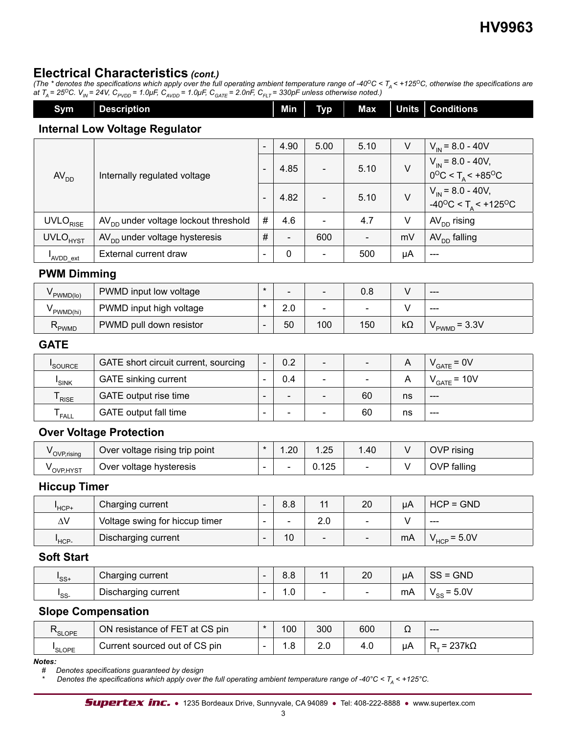## **Electrical Characteristics** *(cont.)*

*(The \* denotes the specifications which apply over the full operating ambient temperature range of -40* $^{\circ}$ *C < T<sub>A</sub> < +125* $^{\circ}$ *C, otherwise the specifications are at T<sub>A</sub>* = 25<sup>o</sup>C. V<sub>IN</sub> = 24V, C<sub>PVDD</sub> = 1.0μF, C<sub>AVDD</sub> = 1.0μF, C<sub>GATE</sub> = 2.0nF, C<sub>FLT</sub> = 330pF unless otherwise noted.)

| Sym                                   | <b>Description</b>                               |                              | Min                          | <b>Typ</b>               | Max                      | <b>Units</b> | <b>Conditions</b>                                                                   |  |
|---------------------------------------|--------------------------------------------------|------------------------------|------------------------------|--------------------------|--------------------------|--------------|-------------------------------------------------------------------------------------|--|
| <b>Internal Low Voltage Regulator</b> |                                                  |                              |                              |                          |                          |              |                                                                                     |  |
|                                       |                                                  | $\overline{\phantom{a}}$     | 4.90                         | 5.00                     | 5.10                     | V            | $V_{IN}$ = 8.0 - 40V                                                                |  |
| AV <sub>DD</sub>                      | Internally regulated voltage                     | $\qquad \qquad \blacksquare$ | 4.85                         | $\overline{\phantom{a}}$ | 5.10                     | $\vee$       | $V_{\text{IN}}$ = 8.0 - 40V,<br>$0^{\circ}$ C < T <sub>A</sub> < +85°C              |  |
|                                       |                                                  | $\overline{a}$               | 4.82                         |                          | 5.10                     | $\vee$       | $V_{\text{IN}}$ = 8.0 - 40V,<br>$-40^{\circ}$ C < T <sub>A</sub> < $+125^{\circ}$ C |  |
| UVLO <sub>RISE</sub>                  | AV <sub>DD</sub> under voltage lockout threshold | $\#$                         | 4.6                          |                          | 4.7                      | $\vee$       | AV <sub>DD</sub> rising                                                             |  |
| UVLO <sub>HYST</sub>                  | AV <sub>DD</sub> under voltage hysteresis        | $\#$                         |                              | 600                      |                          | mV           | $AVDD$ falling                                                                      |  |
| AVDD_ext                              | External current draw                            | $\overline{\phantom{a}}$     | $\pmb{0}$                    |                          | 500                      | μA           | $---$                                                                               |  |
| <b>PWM Dimming</b>                    |                                                  |                              |                              |                          |                          |              |                                                                                     |  |
| $V_{\text{PWMD(lo)}}$                 | PWMD input low voltage                           | $\star$                      | $\blacksquare$               | $\blacksquare$           | 0.8                      | $\vee$       | $---$                                                                               |  |
| $V_{\text{PWMD(hi)}}$                 | PWMD input high voltage                          | $\star$                      | 2.0                          |                          |                          | $\vee$       | ---                                                                                 |  |
| $R_{\text{PWMD}}$                     | PWMD pull down resistor                          | $\blacksquare$               | 50                           | 100                      | 150                      | $k\Omega$    | $VPWMD = 3.3V$                                                                      |  |
| <b>GATE</b>                           |                                                  |                              |                              |                          |                          |              |                                                                                     |  |
| SOURCE                                | GATE short circuit current, sourcing             | $\blacksquare$               | 0.2                          | $\frac{1}{2}$            | $\overline{\phantom{a}}$ | A            | $V_{GATE} = 0V$                                                                     |  |
| $I_{SINK}$                            | <b>GATE</b> sinking current                      | $\blacksquare$               | 0.4                          | $\blacksquare$           |                          | A            | $V_{GATE}$ = 10V                                                                    |  |
| $T_{RISE}$                            | GATE output rise time                            | $\overline{\phantom{a}}$     | $\qquad \qquad \blacksquare$ |                          | 60                       | ns           | ---                                                                                 |  |
| ${\mathsf T}_{\sf FALL}$              | GATE output fall time                            | $\overline{\phantom{a}}$     | $\overline{\phantom{a}}$     | $\blacksquare$           | 60                       | ns           | $\qquad \qquad \textbf{---}$                                                        |  |
|                                       | <b>Over Voltage Protection</b>                   |                              |                              |                          |                          |              |                                                                                     |  |
| $V_{\text{OVP,rising}}$               | Over voltage rising trip point                   | $\star$                      | 1.20                         | 1.25                     | 1.40                     | V            | OVP rising                                                                          |  |
| $V_{OVP, HYST}$                       | Over voltage hysteresis                          | $\frac{1}{2}$                | $\blacksquare$               | 0.125                    |                          | V            | OVP falling                                                                         |  |
| <b>Hiccup Timer</b>                   |                                                  |                              |                              |                          |                          |              |                                                                                     |  |
| $I$ <sub>HCP+</sub>                   | Charging current                                 | $\overline{\phantom{a}}$     | 8.8                          | 11                       | 20                       | μA           | $HCP = GND$                                                                         |  |
| $\Delta \rm{V}$                       | Voltage swing for hiccup timer                   |                              |                              | 2.0                      |                          | $\vee$       |                                                                                     |  |
| $I_{\text{HCP-}}$                     | Discharging current                              | $\overline{\phantom{a}}$     | 10                           |                          |                          | mA           | $V_{HCP}$ = 5.0V                                                                    |  |
| <b>Soft Start</b>                     |                                                  |                              |                              |                          |                          |              |                                                                                     |  |
| $I_{SS^+}$                            | Charging current                                 | $\qquad \qquad \blacksquare$ | 8.8                          | 11                       | 20                       | μA           | $SS = GND$                                                                          |  |
| $I_{SS}$                              | Discharging current                              | $\frac{1}{2}$                | 1.0                          | $\overline{\phantom{a}}$ | $\overline{\phantom{a}}$ | mA           | $V_{SS} = 5.0V$                                                                     |  |
|                                       | <b>Slope Compensation</b>                        |                              |                              |                          |                          |              |                                                                                     |  |
| $R_{\scriptstyle \text{SLOPE}}$       | ON resistance of FET at CS pin                   | $\ast$                       | 100                          | 300                      | 600                      | Ω            | $\qquad \qquad - -$                                                                 |  |
| I <sub>SLOPE</sub>                    | Current sourced out of CS pin                    | $\blacksquare$               | 1.8                          | 2.0                      | 4.0                      | μA           | $R_T$ = 237k $\Omega$                                                               |  |
| Notes:                                |                                                  |                              |                              |                          |                          |              |                                                                                     |  |

*# Denotes specifications guaranteed by design*

*Denotes the specifications which apply over the full operating ambient temperature range of -40°C < T<sub>A</sub> < +125°C.*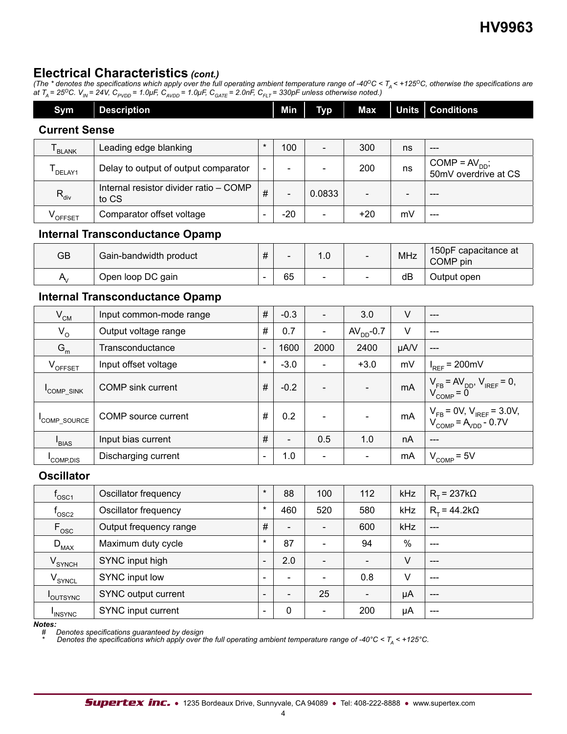## **Electrical Characteristics** *(cont.)*

*(The \* denotes the specifications which apply over the full operating ambient temperature range of -40* $^{\circ}$ *C < T<sub>A</sub> < +125* $^{\circ}$ *C, otherwise the specifications are at T<sub>A</sub>* = 25<sup>o</sup>C. V<sub>IN</sub> = 24V, C<sub>PVDD</sub> = 1.0μF, C<sub>AVDD</sub> = 1.0μF, C<sub>GATE</sub> = 2.0nF, C<sub>FLT</sub> = 330pF unless otherwise noted.)

| Sym                            | <b>Description</b>                              |                | Min    | <b>Typ</b>                   | <b>Max</b>   | <b>Units</b> | <b>Conditions</b>                                                                                                                                                             |  |  |
|--------------------------------|-------------------------------------------------|----------------|--------|------------------------------|--------------|--------------|-------------------------------------------------------------------------------------------------------------------------------------------------------------------------------|--|--|
|                                | <b>Current Sense</b>                            |                |        |                              |              |              |                                                                                                                                                                               |  |  |
| ${\mathsf T}_{\mathsf{BLANK}}$ | Leading edge blanking                           | $^\star$       | 100    | $\overline{\phantom{0}}$     | 300          | ns           | $---$                                                                                                                                                                         |  |  |
| $T_{DELAY1}$                   | Delay to output of output comparator            | $\blacksquare$ |        |                              | 200          | ns           | $COMP = AVDD;$<br>50mV overdrive at CS                                                                                                                                        |  |  |
| $R_{div}$                      | Internal resistor divider ratio - COMP<br>to CS | #              |        | 0.0833                       |              |              |                                                                                                                                                                               |  |  |
| $V_{\text{OFFSET}}$            | Comparator offset voltage                       | L,             | $-20$  |                              | $+20$        | mV           | $---$                                                                                                                                                                         |  |  |
|                                | <b>Internal Transconductance Opamp</b>          |                |        |                              |              |              |                                                                                                                                                                               |  |  |
| <b>GB</b>                      | Gain-bandwidth product                          | #              |        | 1.0                          |              | <b>MHz</b>   | 150pF capacitance at<br>COMP pin                                                                                                                                              |  |  |
| $A_{\rm v}$                    | Open loop DC gain                               | Ē,             | 65     | $\overline{\phantom{a}}$     |              | dB           | Output open                                                                                                                                                                   |  |  |
|                                | <b>Internal Transconductance Opamp</b>          |                |        |                              |              |              |                                                                                                                                                                               |  |  |
| $V_{CM}$                       | Input common-mode range                         | $\#$           | $-0.3$ | $\overline{\phantom{a}}$     | 3.0          | $\vee$       | $---$                                                                                                                                                                         |  |  |
| $V_{O}$                        | Output voltage range                            | #              | 0.7    | $\qquad \qquad \blacksquare$ | $AVDD - 0.7$ | $\vee$       | $---$                                                                                                                                                                         |  |  |
| $G_m$                          | Transconductance                                |                | 1600   | 2000                         | 2400         | µA/V         |                                                                                                                                                                               |  |  |
| $V_{\text{OFFSET}}$            | Input offset voltage                            | $\star$        | $-3.0$ | $\blacksquare$               | $+3.0$       | mV           | $I_{REF}$ = 200mV                                                                                                                                                             |  |  |
| COMP SINK                      | <b>COMP</b> sink current                        | #              | $-0.2$ |                              |              | mA           | $\begin{array}{l} \mathsf{V}_{\mathsf{FB}}\!=\!\mathsf{AV}_{\mathsf{DD}}, \, \mathsf{V}_{\mathsf{IREF}}\!=\mathsf{0}, \\ \mathsf{V}_{\mathsf{COMP}}\!=\mathsf{0} \end{array}$ |  |  |
| COMP_SOURCE                    | COMP source current                             | $\#$           | 0.2    | $\overline{\phantom{a}}$     |              | mA           | $V_{FB} = 0V, V_{IREF} = 3.0V,$<br>$V_{COMP} = A_{YDD} - 0.7V$                                                                                                                |  |  |

### I<sub>COMP.DIS</sub> **Oscillator**

 $I_{BIAS}$ 

| $\mathsf{r}_{\mathsf{O}\mathsf{SC1}}$ | Oscillator frequency   | $\star$                      | 88                       | 100                      | 112 | <b>kHz</b> | $R_T$ = 237k $\Omega$       |
|---------------------------------------|------------------------|------------------------------|--------------------------|--------------------------|-----|------------|-----------------------------|
| $\mathsf{^{I}_{\text{OSC2}}}$         | Oscillator frequency   | $\star$                      | 460                      | 520                      | 580 | kHz        | $R_{\tau}$ = 44.2k $\Omega$ |
| $F_{\rm osc}$                         | Output frequency range | #                            | $\overline{\phantom{a}}$ | $\overline{\phantom{a}}$ | 600 | kHz        | $---$                       |
| $D_{MAX}$                             | Maximum duty cycle     | $\star$                      | 87                       | $\overline{\phantom{0}}$ | 94  | $\%$       | $---$                       |
| V <sub>SYNCH</sub>                    | SYNC input high        | $\overline{\phantom{a}}$     | 2.0                      | $\overline{\phantom{a}}$ |     | $\vee$     | ---                         |
| V <sub>SYNCL</sub>                    | SYNC input low         | $\overline{\phantom{a}}$     |                          | $\overline{\phantom{a}}$ | 0.8 | v          | ---                         |
| <b>COUTSYNC</b>                       | SYNC output current    | $\overline{\phantom{a}}$     |                          | 25                       |     | μA         | $---$                       |
| <b>INSYNC</b>                         | SYNC input current     | $\qquad \qquad \blacksquare$ | 0                        | $\overline{\phantom{a}}$ | 200 | μA         | ---                         |

COMP,DIS Discharging current - 1.0 - - mA VCOMP = 5V

Input bias current  $\vert # \vert - \vert 0.5 \vert 1.0 \vert$  nA

*Notes:*

*# Denotes specifications guaranteed by design*

*\* Denotes the specifications which apply over the full operating ambient temperature range of -40°C < TA < +125°C.*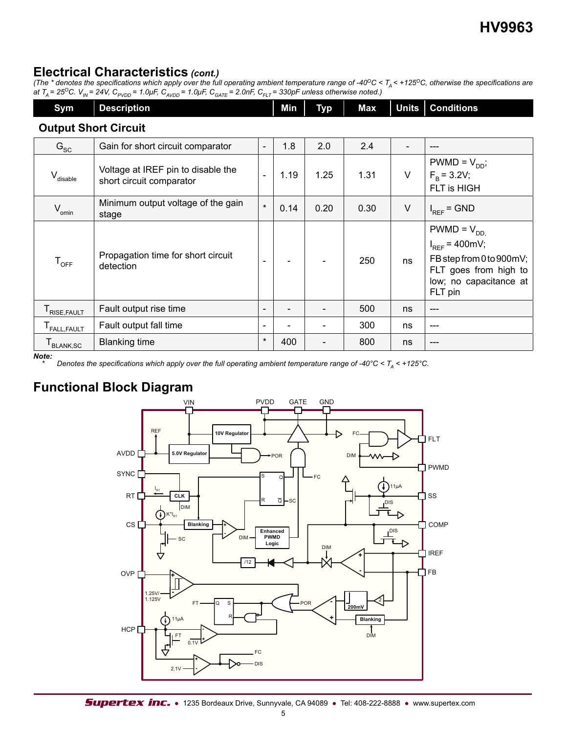## **Electrical Characteristics** *(cont.)*

*(The \* denotes the specifications which apply over the full operating ambient temperature range of -40* $^{\circ}$ *C < T<sub>A</sub> < +125* $^{\circ}$ *C, otherwise the specifications are at T<sub>A</sub>* = 25<sup>o</sup>C. V<sub>IN</sub> = 24V, C<sub>PVDD</sub> = 1.0μF, C<sub>AVDD</sub> = 1.0μF, C<sub>GATE</sub> = 2.0nF, C<sub>FLT</sub> = 330pF unless otherwise noted.)

| Sym                         | <b>Description</b> | <b>Min</b> | <b>Typ</b> |  | Max   Units   Conditions |
|-----------------------------|--------------------|------------|------------|--|--------------------------|
| <b>Output Short Circuit</b> |                    |            |            |  |                          |

| G <sub>SC</sub>                            | Gain for short circuit comparator                              | $\overline{\phantom{0}}$ | 1.8  | 2.0  | 2.4  |        |                                                                                                                                 |
|--------------------------------------------|----------------------------------------------------------------|--------------------------|------|------|------|--------|---------------------------------------------------------------------------------------------------------------------------------|
| V <sub>disable</sub>                       | Voltage at IREF pin to disable the<br>short circuit comparator |                          | 1.19 | 1.25 | 1.31 | $\vee$ | $PWMD = V_{DD}$ ;<br>$F_R = 3.2V$ ;<br>FLT is HIGH                                                                              |
| $V_{\text{omin}}$                          | Minimum output voltage of the gain<br>stage                    | $\star$                  | 0.14 | 0.20 | 0.30 | $\vee$ | $I_{REF}$ = GND                                                                                                                 |
| $\mathsf{T}_{\mathsf{OFF}}$                | Propagation time for short circuit<br>detection                |                          |      |      | 250  | ns     | $PWMD = V_{DD}$<br>$I_{REF}$ = 400mV;<br>FB step from 0 to 900mV;<br>FLT goes from high to<br>low; no capacitance at<br>FLT pin |
| T <sub>RISE, FAULT</sub>                   | Fault output rise time                                         | $\overline{\phantom{0}}$ |      |      | 500  | ns     | ---                                                                                                                             |
| T <sub>FALL,FAULT</sub>                    | Fault output fall time                                         | $\overline{\phantom{a}}$ |      |      | 300  | ns     | $---$                                                                                                                           |
| ${\mathsf T}_{\mathsf{BLANK},\mathsf{SC}}$ | <b>Blanking time</b>                                           | $\star$                  | 400  |      | 800  | ns     | ---                                                                                                                             |

*Note:*

*Denotes the specifications which apply over the full operating ambient temperature range of -40°C <*  $T_A$  *< +125°C.* 

## **Functional Block Diagram**

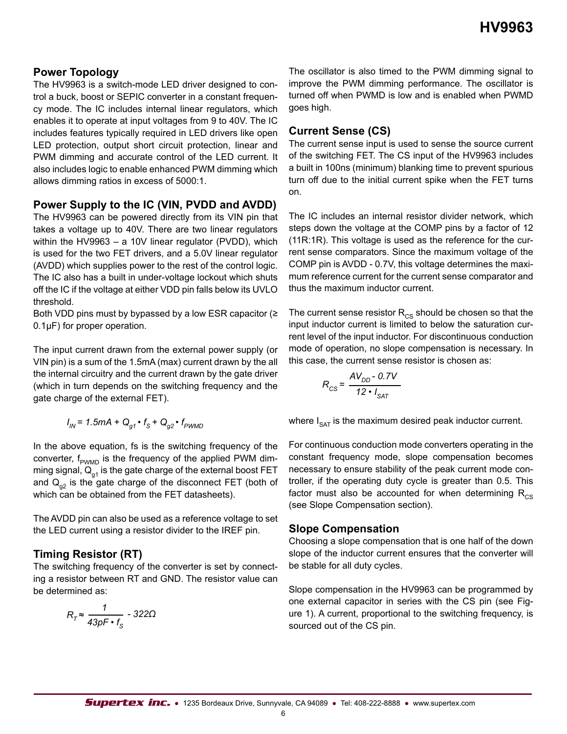### **Power Topology**

The HV9963 is a switch-mode LED driver designed to control a buck, boost or SEPIC converter in a constant frequency mode. The IC includes internal linear regulators, which enables it to operate at input voltages from 9 to 40V. The IC includes features typically required in LED drivers like open LED protection, output short circuit protection, linear and PWM dimming and accurate control of the LED current. It also includes logic to enable enhanced PWM dimming which allows dimming ratios in excess of 5000:1.

#### **Power Supply to the IC (VIN, PVDD and AVDD)**

The HV9963 can be powered directly from its VIN pin that takes a voltage up to 40V. There are two linear regulators within the HV9963 – a 10V linear regulator (PVDD), which is used for the two FET drivers, and a 5.0V linear regulator (AVDD) which supplies power to the rest of the control logic. The IC also has a built in under-voltage lockout which shuts off the IC if the voltage at either VDD pin falls below its UVLO threshold.

Both VDD pins must by bypassed by a low ESR capacitor (≥ 0.1µF) for proper operation.

The input current drawn from the external power supply (or VIN pin) is a sum of the 1.5mA (max) current drawn by the all the internal circuitry and the current drawn by the gate driver (which in turn depends on the switching frequency and the gate charge of the external FET).

$$
I_{IN} = 1.5mA + Q_{g1} \cdot f_{S} + Q_{g2} \cdot f_{PWMD}
$$

In the above equation, fs is the switching frequency of the converter,  $f_{p_{WMD}}$  is the frequency of the applied PWM dimming signal,  $Q_{01}$  is the gate charge of the external boost FET and  $Q_{q2}$  is the gate charge of the disconnect FET (both of which can be obtained from the FET datasheets).

The AVDD pin can also be used as a reference voltage to set the LED current using a resistor divider to the IREF pin.

### **Timing Resistor (RT)**

The switching frequency of the converter is set by connecting a resistor between RT and GND. The resistor value can be determined as:

$$
R_{\tau} \approx \frac{1}{43pF \cdot f_{\rm s}} - 322\Omega
$$

The oscillator is also timed to the PWM dimming signal to improve the PWM dimming performance. The oscillator is turned off when PWMD is low and is enabled when PWMD goes high.

#### **Current Sense (CS)**

The current sense input is used to sense the source current of the switching FET. The CS input of the HV9963 includes a built in 100ns (minimum) blanking time to prevent spurious turn off due to the initial current spike when the FET turns on.

The IC includes an internal resistor divider network, which steps down the voltage at the COMP pins by a factor of 12 (11R:1R). This voltage is used as the reference for the current sense comparators. Since the maximum voltage of the COMP pin is AVDD - 0.7V, this voltage determines the maximum reference current for the current sense comparator and thus the maximum inductor current.

The current sense resistor  $R_{\text{CS}}$  should be chosen so that the input inductor current is limited to below the saturation current level of the input inductor. For discontinuous conduction mode of operation, no slope compensation is necessary. In this case, the current sense resistor is chosen as:

$$
R_{CS} = \frac{AV_{DD} - 0.7V}{12 \cdot I_{SAT}}
$$

where  $I_{\text{SAT}}$  is the maximum desired peak inductor current.

For continuous conduction mode converters operating in the constant frequency mode, slope compensation becomes necessary to ensure stability of the peak current mode controller, if the operating duty cycle is greater than 0.5. This factor must also be accounted for when determining  $R_{cs}$ (see Slope Compensation section).

#### **Slope Compensation**

Choosing a slope compensation that is one half of the down slope of the inductor current ensures that the converter will be stable for all duty cycles.

Slope compensation in the HV9963 can be programmed by one external capacitor in series with the CS pin (see Figure 1). A current, proportional to the switching frequency, is sourced out of the CS pin.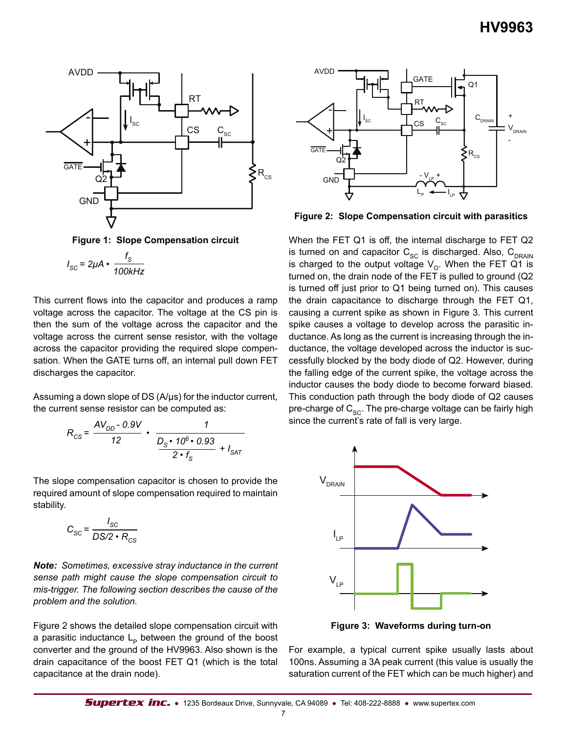

**Figure 1: Slope Compensation circuit**

$$
I_{SC} = 2\mu A \cdot \frac{f_S}{100kHz}
$$

This current flows into the capacitor and produces a ramp voltage across the capacitor. The voltage at the CS pin is then the sum of the voltage across the capacitor and the voltage across the current sense resistor, with the voltage across the capacitor providing the required slope compensation. When the GATE turns off, an internal pull down FET discharges the capacitor.

Assuming a down slope of DS (A/μs) for the inductor current, the current sense resistor can be computed as:

$$
R_{CS} = \frac{AV_{DD} - 0.9V}{12} \cdot \frac{1}{\frac{D_S \cdot 10^6 \cdot 0.93}{2 \cdot f_S} + I_{SAT}}
$$

The slope compensation capacitor is chosen to provide the required amount of slope compensation required to maintain stability.

$$
C_{SC} = \frac{I_{SC}}{DS/2 \cdot R_{CS}}
$$

*Note: Sometimes, excessive stray inductance in the current sense path might cause the slope compensation circuit to mis-trigger. The following section describes the cause of the problem and the solution.*

Figure 2 shows the detailed slope compensation circuit with a parasitic inductance  $L<sub>p</sub>$  between the ground of the boost converter and the ground of the HV9963. Also shown is the drain capacitance of the boost FET Q1 (which is the total capacitance at the drain node).



**Figure 2: Slope Compensation circuit with parasitics**

When the FET Q1 is off, the internal discharge to FET Q2 is turned on and capacitor  $C_{SC}$  is discharged. Also,  $C_{DRAIN}$ is charged to the output voltage  $V_{\Omega}$ . When the FET Q1 is turned on, the drain node of the FET is pulled to ground (Q2 is turned off just prior to Q1 being turned on). This causes the drain capacitance to discharge through the FET Q1, causing a current spike as shown in Figure 3. This current spike causes a voltage to develop across the parasitic inductance. As long as the current is increasing through the inductance, the voltage developed across the inductor is successfully blocked by the body diode of Q2. However, during the falling edge of the current spike, the voltage across the inductor causes the body diode to become forward biased. This conduction path through the body diode of Q2 causes pre-charge of  $C_{SC}$ . The pre-charge voltage can be fairly high since the current's rate of fall is very large.



**Figure 3: Waveforms during turn-on**

For example, a typical current spike usually lasts about 100ns. Assuming a 3A peak current (this value is usually the saturation current of the FET which can be much higher) and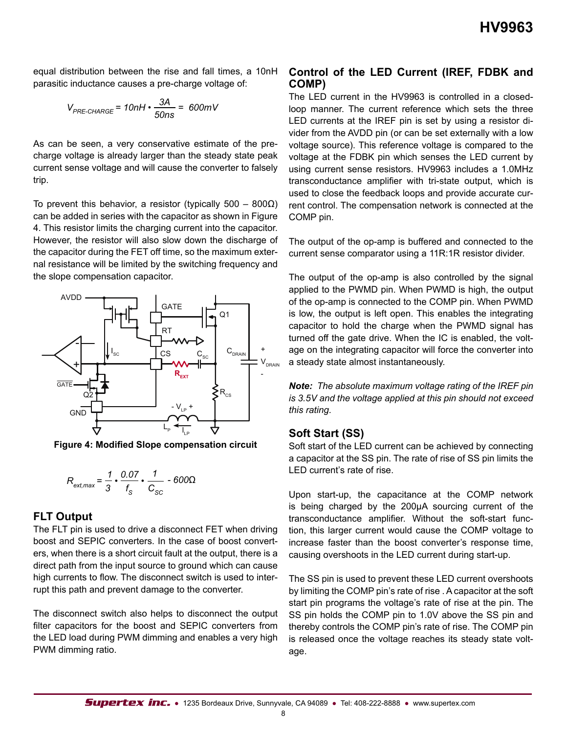equal distribution between the rise and fall times, a 10nH parasitic inductance causes a pre-charge voltage of:

$$
V_{PRE\text{-CHARGE}} = 10nH \cdot \frac{3A}{50ns} = 600mV
$$

As can be seen, a very conservative estimate of the precharge voltage is already larger than the steady state peak current sense voltage and will cause the converter to falsely trip.

To prevent this behavior, a resistor (typically  $500 - 800\Omega$ ) can be added in series with the capacitor as shown in Figure 4. This resistor limits the charging current into the capacitor. However, the resistor will also slow down the discharge of the capacitor during the FET off time, so the maximum external resistance will be limited by the switching frequency and the slope compensation capacitor.



**Figure 4: Modified Slope compensation circuit**

$$
R_{\text{ext,max}} = \frac{1}{3} \cdot \frac{0.07}{f_{\text{S}}} \cdot \frac{1}{C_{\text{SC}}} - 600\Omega
$$

#### **FLT Output**

The FLT pin is used to drive a disconnect FET when driving boost and SEPIC converters. In the case of boost converters, when there is a short circuit fault at the output, there is a direct path from the input source to ground which can cause high currents to flow. The disconnect switch is used to interrupt this path and prevent damage to the converter.

The disconnect switch also helps to disconnect the output filter capacitors for the boost and SEPIC converters from the LED load during PWM dimming and enables a very high PWM dimming ratio.

#### **Control of the LED Current (IREF, FDBK and COMP)**

The LED current in the HV9963 is controlled in a closedloop manner. The current reference which sets the three LED currents at the IREF pin is set by using a resistor divider from the AVDD pin (or can be set externally with a low voltage source). This reference voltage is compared to the voltage at the FDBK pin which senses the LED current by using current sense resistors. HV9963 includes a 1.0MHz transconductance amplifier with tri-state output, which is used to close the feedback loops and provide accurate current control. The compensation network is connected at the COMP pin.

The output of the op-amp is buffered and connected to the current sense comparator using a 11R:1R resistor divider.

The output of the op-amp is also controlled by the signal applied to the PWMD pin. When PWMD is high, the output of the op-amp is connected to the COMP pin. When PWMD is low, the output is left open. This enables the integrating capacitor to hold the charge when the PWMD signal has turned off the gate drive. When the IC is enabled, the voltage on the integrating capacitor will force the converter into a steady state almost instantaneously.

*Note: The absolute maximum voltage rating of the IREF pin is 3.5V and the voltage applied at this pin should not exceed this rating.*

#### **Soft Start (SS)**

Soft start of the LED current can be achieved by connecting a capacitor at the SS pin. The rate of rise of SS pin limits the LED current's rate of rise.

Upon start-up, the capacitance at the COMP network is being charged by the 200μA sourcing current of the transconductance amplifier. Without the soft-start function, this larger current would cause the COMP voltage to increase faster than the boost converter's response time, causing overshoots in the LED current during start-up.

The SS pin is used to prevent these LED current overshoots by limiting the COMP pin's rate of rise . A capacitor at the soft start pin programs the voltage's rate of rise at the pin. The SS pin holds the COMP pin to 1.0V above the SS pin and thereby controls the COMP pin's rate of rise. The COMP pin is released once the voltage reaches its steady state voltage.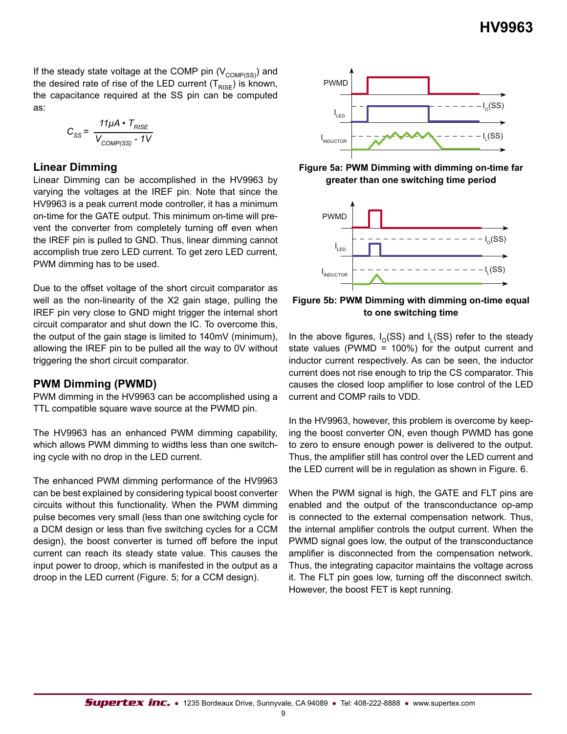If the steady state voltage at the COMP pin  $(V_{\text{COMP}(\text{SS})})$  and the desired rate of rise of the LED current  $(T_{RISE})$  is known, the capacitance required at the SS pin can be computed as:

$$
C_{SS} = \frac{11\mu A \cdot T_{RISE}}{V_{COMP(SS)} - 1V}
$$

#### **Linear Dimming**

Linear Dimming can be accomplished in the HV9963 by varying the voltages at the IREF pin. Note that since the HV9963 is a peak current mode controller, it has a minimum on-time for the GATE output. This minimum on-time will prevent the converter from completely turning off even when the IREF pin is pulled to GND. Thus, linear dimming cannot accomplish true zero LED current. To get zero LED current, PWM dimming has to be used.

Due to the offset voltage of the short circuit comparator as well as the non-linearity of the X2 gain stage, pulling the IREF pin very close to GND might trigger the internal short circuit comparator and shut down the IC. To overcome this, the output of the gain stage is limited to 140mV (minimum), allowing the IREF pin to be pulled all the way to 0V without triggering the short circuit comparator.

#### **PWM Dimming (PWMD)**

PWM dimming in the HV9963 can be accomplished using a TTL compatible square wave source at the PWMD pin.

The HV9963 has an enhanced PWM dimming capability, which allows PWM dimming to widths less than one switching cycle with no drop in the LED current.

The enhanced PWM dimming performance of the HV9963 can be best explained by considering typical boost converter circuits without this functionality. When the PWM dimming pulse becomes very small (less than one switching cycle for a DCM design or less than five switching cycles for a CCM design), the boost converter is turned off before the input current can reach its steady state value. This causes the input power to droop, which is manifested in the output as a droop in the LED current (Figure. 5; for a CCM design).



**Figure 5a: PWM Dimming with dimming on-time far greater than one switching time period**



**Figure 5b: PWM Dimming with dimming on-time equal to one switching time**

In the above figures,  $I_0(SS)$  and  $I_i(SS)$  refer to the steady state values (PWMD = 100%) for the output current and inductor current respectively. As can be seen, the inductor current does not rise enough to trip the CS comparator. This causes the closed loop amplifier to lose control of the LED current and COMP rails to VDD.

In the HV9963, however, this problem is overcome by keeping the boost converter ON, even though PWMD has gone to zero to ensure enough power is delivered to the output. Thus, the amplifier still has control over the LED current and the LED current will be in regulation as shown in Figure. 6.

When the PWM signal is high, the GATE and FLT pins are enabled and the output of the transconductance op-amp is connected to the external compensation network. Thus, the internal amplifier controls the output current. When the PWMD signal goes low, the output of the transconductance amplifier is disconnected from the compensation network. Thus, the integrating capacitor maintains the voltage across it. The FLT pin goes low, turning off the disconnect switch. However, the boost FET is kept running.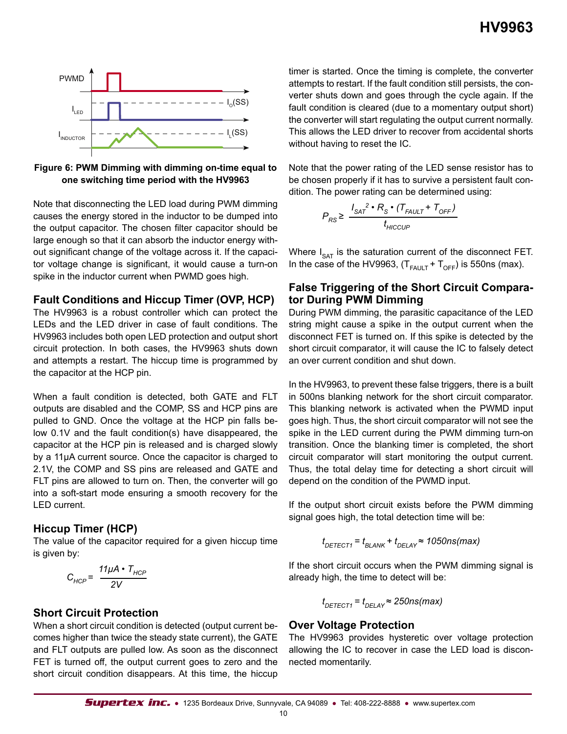



Note that disconnecting the LED load during PWM dimming causes the energy stored in the inductor to be dumped into the output capacitor. The chosen filter capacitor should be large enough so that it can absorb the inductor energy without significant change of the voltage across it. If the capacitor voltage change is significant, it would cause a turn-on spike in the inductor current when PWMD goes high.

#### **Fault Conditions and Hiccup Timer (OVP, HCP)**

The HV9963 is a robust controller which can protect the LEDs and the LED driver in case of fault conditions. The HV9963 includes both open LED protection and output short circuit protection. In both cases, the HV9963 shuts down and attempts a restart. The hiccup time is programmed by the capacitor at the HCP pin.

When a fault condition is detected, both GATE and FLT outputs are disabled and the COMP, SS and HCP pins are pulled to GND. Once the voltage at the HCP pin falls below 0.1V and the fault condition(s) have disappeared, the capacitor at the HCP pin is released and is charged slowly by a 11μA current source. Once the capacitor is charged to 2.1V, the COMP and SS pins are released and GATE and FLT pins are allowed to turn on. Then, the converter will go into a soft-start mode ensuring a smooth recovery for the LED current.

### **Hiccup Timer (HCP)**

The value of the capacitor required for a given hiccup time is given by:

$$
C_{HCP} = \frac{11\mu A \cdot T_{HCP}}{2V}
$$

### **Short Circuit Protection**

When a short circuit condition is detected (output current becomes higher than twice the steady state current), the GATE and FLT outputs are pulled low. As soon as the disconnect FET is turned off, the output current goes to zero and the short circuit condition disappears. At this time, the hiccup

timer is started. Once the timing is complete, the converter attempts to restart. If the fault condition still persists, the converter shuts down and goes through the cycle again. If the fault condition is cleared (due to a momentary output short) the converter will start regulating the output current normally. This allows the LED driver to recover from accidental shorts without having to reset the IC.

Note that the power rating of the LED sense resistor has to be chosen properly if it has to survive a persistent fault condition. The power rating can be determined using:

$$
P_{RS} \geq \frac{I_{SAT}^2 \cdot R_S \cdot (T_{FAULT} + T_{OFF})}{t_{HICCUP}}
$$

Where  $I_{\text{SAT}}$  is the saturation current of the disconnect FET. In the case of the HV9963,  $(T_{FAllT} + T_{OFF})$  is 550ns (max).

#### **False Triggering of the Short Circuit Comparator During PWM Dimming**

During PWM dimming, the parasitic capacitance of the LED string might cause a spike in the output current when the disconnect FET is turned on. If this spike is detected by the short circuit comparator, it will cause the IC to falsely detect an over current condition and shut down.

In the HV9963, to prevent these false triggers, there is a built in 500ns blanking network for the short circuit comparator. This blanking network is activated when the PWMD input goes high. Thus, the short circuit comparator will not see the spike in the LED current during the PWM dimming turn-on transition. Once the blanking timer is completed, the short circuit comparator will start monitoring the output current. Thus, the total delay time for detecting a short circuit will depend on the condition of the PWMD input.

If the output short circuit exists before the PWM dimming signal goes high, the total detection time will be:

$$
t_{\text{DETECT1}} = t_{\text{BLANK}} + t_{\text{DELAY}} \approx 1050 \text{ns} (\text{max})
$$

If the short circuit occurs when the PWM dimming signal is already high, the time to detect will be:

$$
t_{DETECT1} = t_{DELAY} \approx 250 \text{ns}(\text{max})
$$

### **Over Voltage Protection**

The HV9963 provides hysteretic over voltage protection allowing the IC to recover in case the LED load is disconnected momentarily.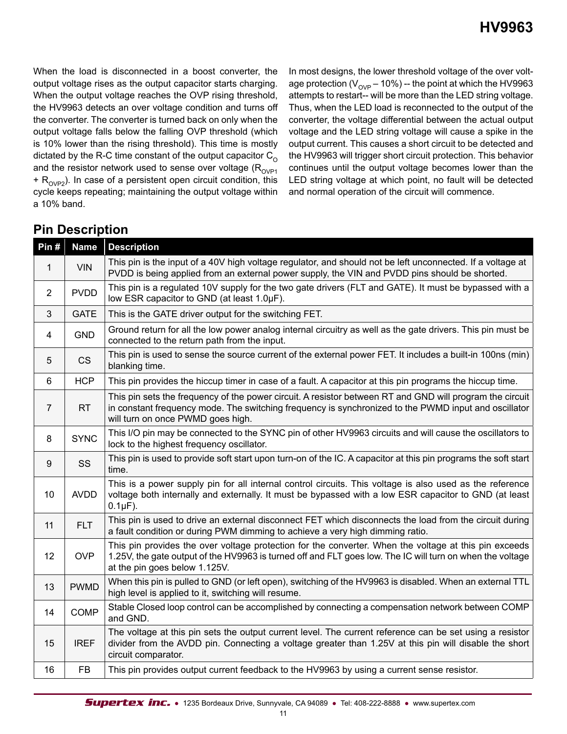When the load is disconnected in a boost converter, the output voltage rises as the output capacitor starts charging. When the output voltage reaches the OVP rising threshold, the HV9963 detects an over voltage condition and turns off the converter. The converter is turned back on only when the output voltage falls below the falling OVP threshold (which is 10% lower than the rising threshold). This time is mostly dictated by the R-C time constant of the output capacitor  $C_{\Omega}$ and the resistor network used to sense over voltage ( $R_{\text{OVP1}}$  $+$  R<sub>OVP2</sub>). In case of a persistent open circuit condition, this cycle keeps repeating; maintaining the output voltage within a 10% band.

In most designs, the lower threshold voltage of the over voltage protection ( $V_{OVP}$  – 10%) -- the point at which the HV9963 attempts to restart-- will be more than the LED string voltage. Thus, when the LED load is reconnected to the output of the converter, the voltage differential between the actual output voltage and the LED string voltage will cause a spike in the output current. This causes a short circuit to be detected and the HV9963 will trigger short circuit protection. This behavior continues until the output voltage becomes lower than the LED string voltage at which point, no fault will be detected and normal operation of the circuit will commence.

## **Pin Description**

| Pin#           | <b>Name</b> | <b>Description</b>                                                                                                                                                                                                                                    |
|----------------|-------------|-------------------------------------------------------------------------------------------------------------------------------------------------------------------------------------------------------------------------------------------------------|
| $\mathbf{1}$   | <b>VIN</b>  | This pin is the input of a 40V high voltage regulator, and should not be left unconnected. If a voltage at<br>PVDD is being applied from an external power supply, the VIN and PVDD pins should be shorted.                                           |
| $\overline{2}$ | <b>PVDD</b> | This pin is a regulated 10V supply for the two gate drivers (FLT and GATE). It must be bypassed with a<br>low ESR capacitor to GND (at least 1.0µF).                                                                                                  |
| 3              | <b>GATE</b> | This is the GATE driver output for the switching FET.                                                                                                                                                                                                 |
| 4              | <b>GND</b>  | Ground return for all the low power analog internal circuitry as well as the gate drivers. This pin must be<br>connected to the return path from the input.                                                                                           |
| 5              | <b>CS</b>   | This pin is used to sense the source current of the external power FET. It includes a built-in 100ns (min)<br>blanking time.                                                                                                                          |
| 6              | <b>HCP</b>  | This pin provides the hiccup timer in case of a fault. A capacitor at this pin programs the hiccup time.                                                                                                                                              |
| $\overline{7}$ | <b>RT</b>   | This pin sets the frequency of the power circuit. A resistor between RT and GND will program the circuit<br>in constant frequency mode. The switching frequency is synchronized to the PWMD input and oscillator<br>will turn on once PWMD goes high. |
| 8              | <b>SYNC</b> | This I/O pin may be connected to the SYNC pin of other HV9963 circuits and will cause the oscillators to<br>lock to the highest frequency oscillator.                                                                                                 |
| 9              | SS          | This pin is used to provide soft start upon turn-on of the IC. A capacitor at this pin programs the soft start<br>time.                                                                                                                               |
| 10             | <b>AVDD</b> | This is a power supply pin for all internal control circuits. This voltage is also used as the reference<br>voltage both internally and externally. It must be bypassed with a low ESR capacitor to GND (at least<br>$0.1 \mu F$ ).                   |
| 11             | <b>FLT</b>  | This pin is used to drive an external disconnect FET which disconnects the load from the circuit during<br>a fault condition or during PWM dimming to achieve a very high dimming ratio.                                                              |
| 12             | <b>OVP</b>  | This pin provides the over voltage protection for the converter. When the voltage at this pin exceeds<br>1.25V, the gate output of the HV9963 is turned off and FLT goes low. The IC will turn on when the voltage<br>at the pin goes below 1.125V.   |
| 13             | <b>PWMD</b> | When this pin is pulled to GND (or left open), switching of the HV9963 is disabled. When an external TTL<br>high level is applied to it, switching will resume.                                                                                       |
| 14             | <b>COMP</b> | Stable Closed loop control can be accomplished by connecting a compensation network between COMP<br>and GND.                                                                                                                                          |
| 15             | <b>IREF</b> | The voltage at this pin sets the output current level. The current reference can be set using a resistor<br>divider from the AVDD pin. Connecting a voltage greater than 1.25V at this pin will disable the short<br>circuit comparator.              |
| 16             | <b>FB</b>   | This pin provides output current feedback to the HV9963 by using a current sense resistor.                                                                                                                                                            |